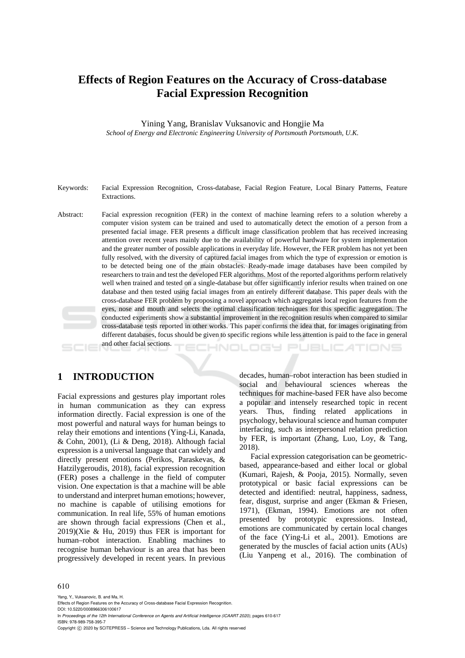# **Effects of Region Features on the Accuracy of Cross-database Facial Expression Recognition**

Yining Yang, Branislav Vuksanovic and Hongjie Ma *School of Energy and Electronic Engineering University of Portsmouth Portsmouth, U.K.* 

- Keywords: Facial Expression Recognition, Cross-database, Facial Region Feature, Local Binary Patterns, Feature Extractions.
- Abstract: Facial expression recognition (FER) in the context of machine learning refers to a solution whereby a computer vision system can be trained and used to automatically detect the emotion of a person from a presented facial image. FER presents a difficult image classification problem that has received increasing attention over recent years mainly due to the availability of powerful hardware for system implementation and the greater number of possible applications in everyday life. However, the FER problem has not yet been fully resolved, with the diversity of captured facial images from which the type of expression or emotion is to be detected being one of the main obstacles. Ready-made image databases have been compiled by researchers to train and test the developed FER algorithms. Most of the reported algorithms perform relatively well when trained and tested on a single-database but offer significantly inferior results when trained on one database and then tested using facial images from an entirely different database. This paper deals with the cross-database FER problem by proposing a novel approach which aggregates local region features from the eyes, nose and mouth and selects the optimal classification techniques for this specific aggregation. The conducted experiments show a substantial improvement in the recognition results when compared to similar cross-database tests reported in other works. This paper confirms the idea that, for images originating from different databases, focus should be given to specific regions while less attention is paid to the face in general

HNOLOGY

and other facial sections.

# **1 INTRODUCTION**

Facial expressions and gestures play important roles in human communication as they can express information directly. Facial expression is one of the most powerful and natural ways for human beings to relay their emotions and intentions (Ying-Li, Kanada, & Cohn, 2001), (Li & Deng, 2018). Although facial expression is a universal language that can widely and directly present emotions (Perikos, Paraskevas, & Hatzilygeroudis, 2018), facial expression recognition (FER) poses a challenge in the field of computer vision. One expectation is that a machine will be able to understand and interpret human emotions; however, no machine is capable of utilising emotions for communication. In real life, 55% of human emotions are shown through facial expressions (Chen et al., 2019)(Xie & Hu, 2019) thus FER is important for human–robot interaction. Enabling machines to recognise human behaviour is an area that has been progressively developed in recent years. In previous decades, human–robot interaction has been studied in social and behavioural sciences whereas the techniques for machine-based FER have also become a popular and intensely researched topic in recent years. Thus, finding related applications in psychology, behavioural science and human computer interfacing, such as interpersonal relation prediction by FER, is important (Zhang, Luo, Loy, & Tang, 2018).

**JBLICATIONS** 

Facial expression categorisation can be geometricbased, appearance-based and either local or global (Kumari, Rajesh, & Pooja, 2015). Normally, seven prototypical or basic facial expressions can be detected and identified: neutral, happiness, sadness, fear, disgust, surprise and anger (Ekman & Friesen, 1971), (Ekman, 1994). Emotions are not often presented by prototypic expressions. Instead, emotions are communicated by certain local changes of the face (Ying-Li et al., 2001). Emotions are generated by the muscles of facial action units (AUs) (Liu Yanpeng et al., 2016). The combination of

#### 610

Yang, Y., Vuksanovic, B. and Ma, H. Effects of Region Features on the Accuracy of Cross-database Facial Expression Recognition. DOI: 10.5220/0008966306100617 In *Proceedings of the 12th International Conference on Agents and Artificial Intelligence (ICAART 2020)*, pages 610-617 ISBN: 978-989-758-395-7 Copyright C 2020 by SCITEPRESS - Science and Technology Publications, Lda. All rights reserved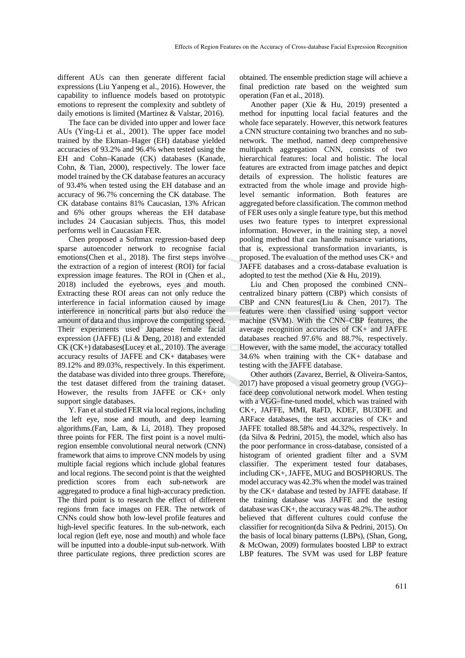different AUs can then generate different facial expressions (Liu Yanpeng et al., 2016). However, the capability to influence models based on prototypic emotions to represent the complexity and subtlety of daily emotions is limited (Martinez & Valstar, 2016).

The face can be divided into upper and lower face AUs (Ying-Li et al., 2001). The upper face model trained by the Ekman–Hager (EH) database yielded accuracies of 93.2% and 96.4% when tested using the EH and Cohn–Kanade (CK) databases (Kanade, Cohn, & Tian, 2000), respectively. The lower face model trained by the CK database features an accuracy of 93.4% when tested using the EH database and an accuracy of 96.7% concerning the CK database. The CK database contains 81% Caucasian, 13% African and 6% other groups whereas the EH database includes 24 Caucasian subjects. Thus, this model performs well in Caucasian FER.

Chen proposed a Softmax regression-based deep sparse autoencoder network to recognise facial emotions(Chen et al., 2018). The first steps involve the extraction of a region of interest (ROI) for facial expression image features. The ROI in (Chen et al., 2018) included the eyebrows, eyes and mouth. Extracting these ROI areas can not only reduce the interference in facial information caused by image interference in noncritical parts but also reduce the amount of data and thus improve the computing speed. Their experiments used Japanese female facial expression (JAFFE) (Li & Deng, 2018) and extended CK (CK+) databases(Lucey et al., 2010). The average accuracy results of JAFFE and CK+ databases were 89.12% and 89.03%, respectively. In this experiment. the database was divided into three groups. Therefore, the test dataset differed from the training dataset. However, the results from JAFFE or CK+ only support single databases.

Y. Fan et al studied FER via local regions, including the left eye, nose and mouth, and deep learning algorithms.(Fan, Lam, & Li, 2018). They proposed three points for FER. The first point is a novel multiregion ensemble convolutional neural network (CNN) framework that aims to improve CNN models by using multiple facial regions which include global features and local regions. The second point is that the weighted prediction scores from each sub-network are aggregated to produce a final high-accuracy prediction. The third point is to research the effect of different regions from face images on FER. The network of CNNs could show both low-level profile features and high-level specific features. In the sub-network, each local region (left eye, nose and mouth) and whole face will be inputted into a double-input sub-network. With three particulate regions, three prediction scores are

obtained. The ensemble prediction stage will achieve a final prediction rate based on the weighted sum operation (Fan et al., 2018).

Another paper (Xie & Hu, 2019) presented a method for inputting local facial features and the whole face separately. However, this network features a CNN structure containing two branches and no subnetwork. The method, named deep comprehensive multipatch aggregation CNN, consists of two hierarchical features: local and holistic. The local features are extracted from image patches and depict details of expression. The holistic features are extracted from the whole image and provide highlevel semantic information. Both features are aggregated before classification. The common method of FER uses only a single feature type, but this method uses two feature types to interpret expressional information. However, in the training step, a novel pooling method that can handle nuisance variations, that is, expressional transformation invariants, is proposed. The evaluation of the method uses CK+ and JAFFE databases and a cross-database evaluation is adopted to test the method (Xie & Hu, 2019).

Liu and Chen proposed the combined CNN– centralized binary pattern (CBP) which consists of CBP and CNN features(Liu & Chen, 2017). The features were then classified using support vector machine (SVM). With the CNN–CBP features, the average recognition accuracies of CK+ and JAFFE databases reached 97.6% and 88.7%, respectively. However, with the same model, the accuracy totalled 34.6% when training with the CK+ database and testing with the JAFFE database.

Other authors (Zavarez, Berriel, & Oliveira-Santos, 2017) have proposed a visual geometry group (VGG)– face deep convolutional network model. When testing with a VGG–fine-tuned model, which was trained with CK+, JAFFE, MMI, RaFD, KDEF, BU3DFE and ARFace databases, the test accuracies of CK+ and JAFFE totalled 88.58% and 44.32%, respectively. In (da Silva & Pedrini, 2015), the model, which also has the poor performance in cross-database, consisted of a histogram of oriented gradient filter and a SVM classifier. The experiment tested four databases, including CK+, JAFFE, MUG and BOSPHORUS. The model accuracy was 42.3% when the model was trained by the CK+ database and tested by JAFFE database. If the training database was JAFFE and the testing database was CK+, the accuracy was 48.2%. The author believed that different cultures could confuse the classifier for recognition(da Silva & Pedrini, 2015). On the basis of local binary patterns (LBPs), (Shan, Gong, & McOwan, 2009) formulates boosted LBP to extract LBP features. The SVM was used for LBP feature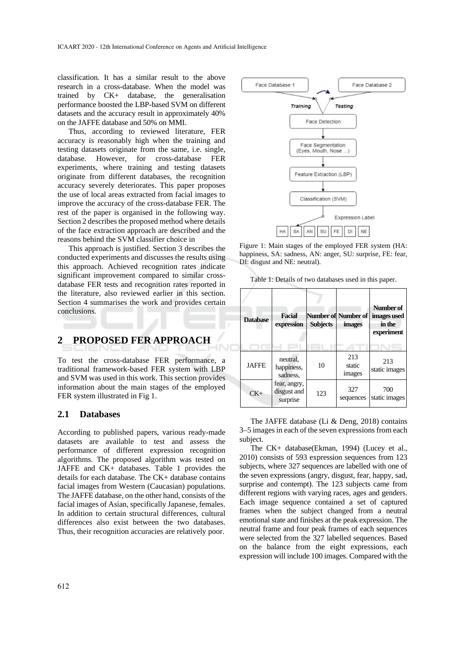classification. It has a similar result to the above research in a cross-database. When the model was trained by CK+ database, the generalisation performance boosted the LBP-based SVM on different datasets and the accuracy result in approximately 40% on the JAFFE database and 50% on MMI.

Thus, according to reviewed literature, FER accuracy is reasonably high when the training and testing datasets originate from the same, i.e. single, database. However, for cross-database FER experiments, where training and testing datasets originate from different databases, the recognition accuracy severely deteriorates. This paper proposes the use of local areas extracted from facial images to improve the accuracy of the cross-database FER. The rest of the paper is organised in the following way. Section 2 describes the proposed method where details of the face extraction approach are described and the reasons behind the SVM classifier choice in

This approach is justified. Section 3 describes the conducted experiments and discusses the results using this approach. Achieved recognition rates indicate significant improvement compared to similar crossdatabase FER tests and recognition rates reported in the literature, also reviewed earlier in this section. Section 4 summarises the work and provides certain conclusions.

# **2 PROPOSED FER APPROACH**

To test the cross-database FER performance, a traditional framework-based FER system with LBP and SVM was used in this work. This section provides information about the main stages of the employed FER system illustrated in Fig 1.

### **2.1 Databases**

According to published papers, various ready-made datasets are available to test and assess the performance of different expression recognition algorithms. The proposed algorithm was tested on JAFFE and CK+ databases. Table 1 provides the details for each database. The CK+ database contains facial images from Western (Caucasian) populations. The JAFFE database, on the other hand, consists of the facial images of Asian, specifically Japanese, females. In addition to certain structural differences, cultural differences also exist between the two databases. Thus, their recognition accuracies are relatively poor.



Figure 1: Main stages of the employed FER system (HA: happiness, SA: sadness, AN: anger, SU: surprise, FE: fear, DI: disgust and NE: neutral).

|  |  | Table 1: Details of two databases used in this paper. |
|--|--|-------------------------------------------------------|
|--|--|-------------------------------------------------------|

| <b>Database</b> | <b>Facial</b><br>expression             | <b>Subjects</b> | <b>Number of Number of</b><br><i>images</i> | Number of<br>images used<br>in the<br>experiment |
|-----------------|-----------------------------------------|-----------------|---------------------------------------------|--------------------------------------------------|
| <b>JAFFE</b>    | neutral.<br>happiness,<br>sadness.      | 10              | 213<br>static<br>images                     | 213<br>static images                             |
| $CK+$           | fear, angry,<br>disgust and<br>surprise | 123             | 327<br>sequences                            | 700<br>static images                             |

The JAFFE database (Li & Deng, 2018) contains 3–5 images in each of the seven expressions from each subject.

The CK+ database(Ekman, 1994) (Lucey et al., 2010) consists of 593 expression sequences from 123 subjects, where 327 sequences are labelled with one of the seven expressions (angry, disgust, fear, happy, sad, surprise and contempt). The 123 subjects came from different regions with varying races, ages and genders. Each image sequence contained a set of captured frames when the subject changed from a neutral emotional state and finishes at the peak expression. The neutral frame and four peak frames of each sequences were selected from the 327 labelled sequences. Based on the balance from the eight expressions, each expression will include 100 images. Compared with the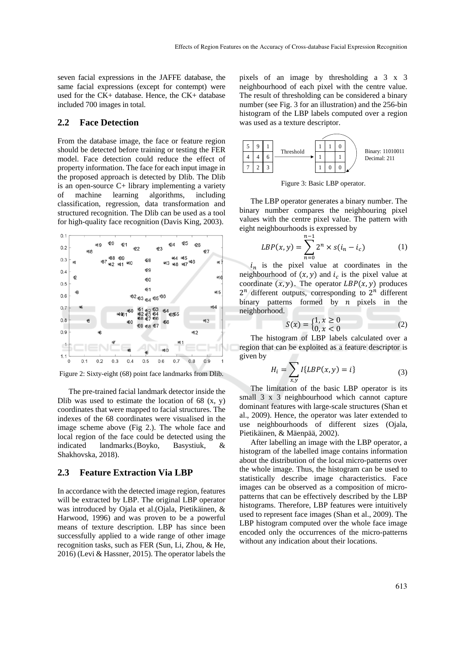seven facial expressions in the JAFFE database, the same facial expressions (except for contempt) were used for the CK+ database. Hence, the CK+ database included 700 images in total.

### **2.2 Face Detection**

From the database image, the face or feature region should be detected before training or testing the FER model. Face detection could reduce the effect of property information. The face for each input image in the proposed approach is detected by Dlib. The Dlib is an open-source C+ library implementing a variety of machine learning algorithms, including classification, regression, data transformation and structured recognition. The Dlib can be used as a tool for high-quality face recognition (Davis King, 2003).



Figure 2: Sixty-eight (68) point face landmarks from Dlib.

The pre-trained facial landmark detector inside the Dlib was used to estimate the location of  $68$  (x, y) coordinates that were mapped to facial structures. The indexes of the 68 coordinates were visualised in the image scheme above (Fig 2.). The whole face and local region of the face could be detected using the indicated landmarks.(Boyko, Basystiuk, & Shakhovska, 2018).

#### **2.3 Feature Extraction Via LBP**

In accordance with the detected image region, features will be extracted by LBP. The original LBP operator was introduced by Ojala et al.(Ojala, Pietikäinen, & Harwood, 1996) and was proven to be a powerful means of texture description. LBP has since been successfully applied to a wide range of other image recognition tasks, such as FER (Sun, Li, Zhou, & He, 2016) (Levi & Hassner, 2015). The operator labels the

pixels of an image by thresholding a 3 x 3 neighbourhood of each pixel with the centre value. The result of thresholding can be considered a binary number (see Fig. 3 for an illustration) and the 256-bin histogram of the LBP labels computed over a region was used as a texture descriptor.



Figure 3: Basic LBP operator.

The LBP operator generates a binary number. The binary number compares the neighbouring pixel values with the centre pixel value. The pattern with eight neighbourhoods is expressed by

$$
LBP(x, y) = \sum_{n=0}^{n-1} 2^n \times s(i_n - i_c)
$$
 (1)

 $i_n$  is the pixel value at coordinates in the neighbourhood of  $(x, y)$  and  $i_c$  is the pixel value at coordinate  $(x, y)$ . The operator  $LBP(x, y)$  produces  $2^n$  different outputs, corresponding to  $2^n$  different binary patterns formed by  $n$  pixels in the neighborhood.

$$
S(x) = \begin{cases} 1, x \ge 0 \\ 0, x < 0 \end{cases}
$$
 (2)

The histogram of LBP labels calculated over a region that can be exploited as a feature descriptor is given by

ܪ

$$
H_i = \sum_{x,y} I\{LBP(x,y) = i\}
$$
 (3)

The limitation of the basic LBP operator is its small 3 x 3 neighbourhood which cannot capture dominant features with large-scale structures (Shan et al., 2009). Hence, the operator was later extended to use neighbourhoods of different sizes (Ojala, Pietikäinen, & Mäenpää, 2002).

After labelling an image with the LBP operator, a histogram of the labelled image contains information about the distribution of the local micro-patterns over the whole image. Thus, the histogram can be used to statistically describe image characteristics. Face images can be observed as a composition of micropatterns that can be effectively described by the LBP histograms. Therefore, LBP features were intuitively used to represent face images (Shan et al., 2009). The LBP histogram computed over the whole face image encoded only the occurrences of the micro-patterns without any indication about their locations.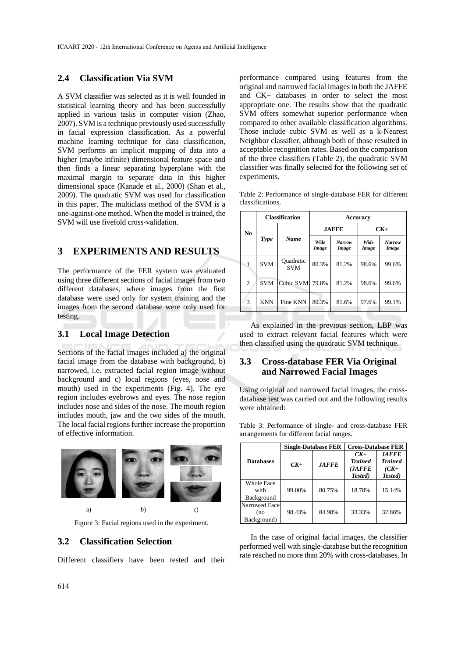### **2.4 Classification Via SVM**

A SVM classifier was selected as it is well founded in statistical learning theory and has been successfully applied in various tasks in computer vision (Zhao, 2007). SVM is a technique previously used successfully in facial expression classification. As a powerful machine learning technique for data classification, SVM performs an implicit mapping of data into a higher (maybe infinite) dimensional feature space and then finds a linear separating hyperplane with the maximal margin to separate data in this higher dimensional space (Kanade et al., 2000) (Shan et al., 2009). The quadratic SVM was used for classification in this paper. The multiclass method of the SVM is a one-against-one method. When the model is trained, the SVM will use fivefold cross-validation.

# **3 EXPERIMENTS AND RESULTS**

The performance of the FER system was evaluated using three different sections of facial images from two different databases, where images from the first database were used only for system training and the images from the second database were only used for testing.

### **3.1 Local Image Detection**

Sections of the facial images included a) the original facial image from the database with background, b) narrowed, i.e. extracted facial region image without background and c) local regions (eyes, nose and mouth) used in the experiments (Fig. 4). The eye region includes eyebrows and eyes. The nose region includes nose and sides of the nose. The mouth region includes mouth, jaw and the two sides of the mouth. The local facial regions further increase the proportion of effective information.



Figure 3: Facial regions used in the experiment.

#### **3.2 Classification Selection**

Different classifiers have been tested and their

performance compared using features from the original and narrowed facial images in both the JAFFE and CK+ databases in order to select the most appropriate one. The results show that the quadratic SVM offers somewhat superior performance when compared to other available classification algorithms. Those include cubic SVM as well as a k-Nearest Neighbor classifier, although both of those resulted in acceptable recognition rates. Based on the comparison of the three classifiers (Table 2), the quadratic SVM classifier was finally selected for the following set of experiments.

| Table 2: Performance of single-database FER for different |  |  |  |
|-----------------------------------------------------------|--|--|--|
| classifications.                                          |  |  |  |

| N <sub>0</sub> | <b>Classification</b> |                         | <b>Accuracy</b> |                        |               |                        |  |
|----------------|-----------------------|-------------------------|-----------------|------------------------|---------------|------------------------|--|
|                | <b>Type</b>           |                         |                 | <b>JAFFE</b>           | $CK+$         |                        |  |
|                |                       | <b>Name</b>             | Wide<br>Image   | <b>Narrow</b><br>Image | Wide<br>Image | <b>Narrow</b><br>Image |  |
| 1              | <b>SVM</b>            | Quadratic<br><b>SVM</b> | 80.3%           | 81.2%                  | 98.6%         | 99.6%                  |  |
| 2              | <b>SVM</b>            | Cubic SVM               | 79.8%           | 81.2%                  | 98.6%         | 99.6%                  |  |
| 3              | <b>KNN</b>            | Fine KNN                | 80.3%           | 81.6%                  | 97.6%         | 99.1%                  |  |

As explained in the previous section, LBP was used to extract relevant facial features which were then classified using the quadratic SVM technique.

### **3.3 Cross-database FER Via Original and Narrowed Facial Images**

Using original and narrowed facial images, the crossdatabase test was carried out and the following results were obtained:

|                                     |        | <b>Single-Database FER</b> | <b>Cross-Database FER</b>                            |                                                     |  |
|-------------------------------------|--------|----------------------------|------------------------------------------------------|-----------------------------------------------------|--|
| <b>Databases</b>                    | $CK+$  | <b>JAFFE</b>               | $CK+$<br><b>Trained</b><br>( <i>JAFFE</i><br>Tested) | <b>JAFFE</b><br><b>Trained</b><br>$(CK+$<br>Tested) |  |
| Whole Face<br>with<br>Background    | 99.00% | 80.75%                     | 18.78%                                               | 15.14%                                              |  |
| Narrowed Face<br>(no<br>Background) | 98.43% | 84.98%                     | 33.33%                                               | 32.86%                                              |  |

Table 3: Performance of single- and cross-database FER arrangements for different facial ranges.

In the case of original facial images, the classifier performed well with single-database but the recognition rate reached no more than 20% with cross-databases. In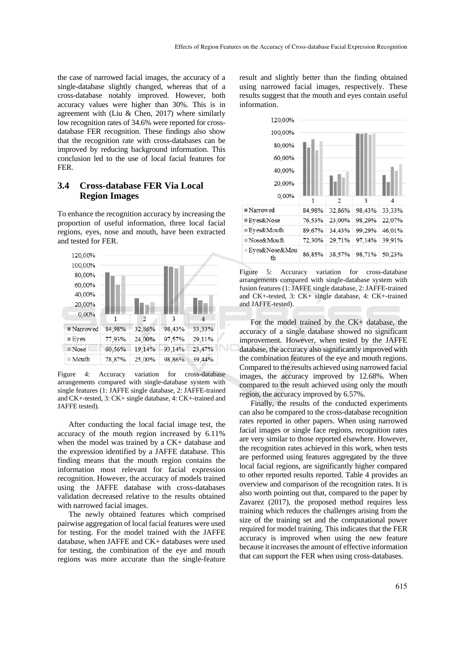the case of narrowed facial images, the accuracy of a single-database slightly changed, whereas that of a cross-database notably improved. However, both accuracy values were higher than 30%. This is in agreement with (Liu  $&$  Chen, 2017) where similarly low recognition rates of 34.6% were reported for crossdatabase FER recognition. These findings also show that the recognition rate with cross-databases can be improved by reducing background information. This conclusion led to the use of local facial features for FER.

## **3.4 Cross-database FER Via Local Region Images**

To enhance the recognition accuracy by increasing the proportion of useful information, three local facial regions, eyes, nose and mouth, have been extracted and tested for FER.



Figure 4: Accuracy variation for cross-database arrangements compared with single-database system with single features (1: JAFFE single database, 2: JAFFE-trained and CK+-tested, 3: CK+ single database, 4: CK+-trained and JAFFE tested).

After conducting the local facial image test, the accuracy of the mouth region increased by 6.11% when the model was trained by a CK+ database and the expression identified by a JAFFE database. This finding means that the mouth region contains the information most relevant for facial expression recognition. However, the accuracy of models trained using the JAFFE database with cross-databases validation decreased relative to the results obtained with narrowed facial images.

The newly obtained features which comprised pairwise aggregation of local facial features were used for testing. For the model trained with the JAFFE database, when JAFFE and CK+ databases were used for testing, the combination of the eye and mouth regions was more accurate than the single-feature

result and slightly better than the finding obtained using narrowed facial images, respectively. These results suggest that the mouth and eyes contain useful information.



Figure 5: Accuracy variation for cross-database arrangements compared with single-database system with fusion features (1: JAFFE single database, 2: JAFFE-trained and CK+-tested, 3: CK+ single database, 4: CK+-trained and JAFFE-tested).

For the model trained by the CK+ database, the accuracy of a single database showed no significant improvement. However, when tested by the JAFFE database, the accuracy also significantly improved with the combination features of the eye and mouth regions. Compared to the results achieved using narrowed facial images, the accuracy improved by 12.68%. When compared to the result achieved using only the mouth region, the accuracy improved by 6.57%.

Finally, the results of the conducted experiments can also be compared to the cross-database recognition rates reported in other papers. When using narrowed facial images or single face regions, recognition rates are very similar to those reported elsewhere. However, the recognition rates achieved in this work, when tests are performed using features aggregated by the three local facial regions, are significantly higher compared to other reported results reported. Table 4 provides an overview and comparison of the recognition rates. It is also worth pointing out that, compared to the paper by Zavarez (2017), the proposed method requires less training which reduces the challenges arising from the size of the training set and the computational power required for model training. This indicates that the FER accuracy is improved when using the new feature because it increases the amount of effective information that can support the FER when using cross-databases.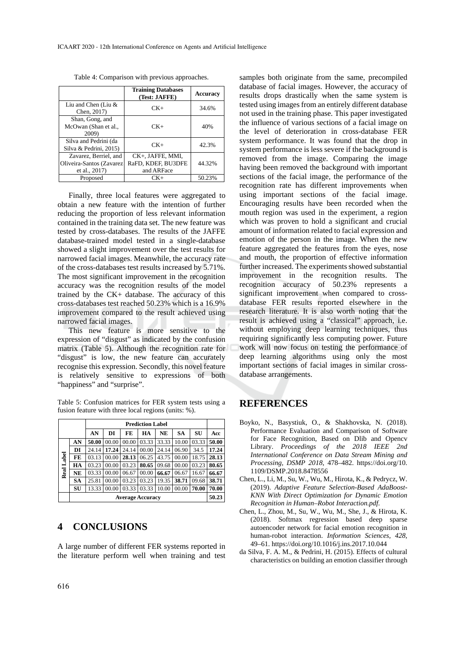|                                                                    | <b>Training Databases</b><br>(Test: JAFFE)           | <b>Accuracy</b> |
|--------------------------------------------------------------------|------------------------------------------------------|-----------------|
| Liu and Chen (Liu $&$<br>Chen, 2017)                               | $CK+$                                                | 34.6%           |
| Shan, Gong, and<br>McOwan (Shan et al.,<br>2009)                   | $CK+$                                                | 40%             |
| Silva and Pedrini (da<br>Silva & Pedrini, 2015)                    | $CK+$                                                | 42.3%           |
| Zavarez, Berriel, and<br>Oliveira-Santos (Zavarez<br>et al., 2017) | CK+, JAFFE, MMI,<br>RaFD, KDEF, BU3DFE<br>and ARFace | 44.32%          |
| Proposed                                                           | CK+                                                  | 50.23%          |

Table 4: Comparison with previous approaches.

Finally, three local features were aggregated to obtain a new feature with the intention of further reducing the proportion of less relevant information contained in the training data set. The new feature was tested by cross-databases. The results of the JAFFE database-trained model tested in a single-database showed a slight improvement over the test results for narrowed facial images. Meanwhile, the accuracy rate of the cross-databases test results increased by 5.71%. The most significant improvement in the recognition accuracy was the recognition results of the model trained by the CK+ database. The accuracy of this cross-databases test reached 50.23% which is a 16.9% improvement compared to the result achieved using narrowed facial images.

This new feature is more sensitive to the expression of "disgust" as indicated by the confusion matrix (Table 5). Although the recognition rate for "disgust" is low, the new feature can accurately recognise this expression. Secondly, this novel feature is relatively sensitive to expressions of both "happiness" and "surprise".

Table 5: Confusion matrices for FER system tests using a fusion feature with three local regions (units: %).

|            | <b>Prediction Label</b> |       |       |       |       |       |       |       |       |
|------------|-------------------------|-------|-------|-------|-------|-------|-------|-------|-------|
|            |                         | AN    | DI    | FE    | HА    | NE    | SА    | SU    | Acc   |
|            | AN                      | 50.00 | 00.00 | 00.00 | 03.33 | 33.33 | 10.00 | 03.33 | 50.00 |
|            | DI                      | 24.14 | 17.24 | 24.14 | 00.00 | 24.14 | 06.90 | 34.5  | 17.24 |
|            | FE                      | 03.13 | 00.00 | 28.13 | 06.25 | 43.75 | 00.00 | 18.75 | 28.13 |
|            | HA                      | 03.23 | 00.00 | 03.23 | 80.65 | 09.68 | 00.00 | 03.23 | 80.65 |
| Real Label | <b>NE</b>               | 03.33 | 00.00 | 06.67 | 00.00 | 66.67 | 06.67 | 16.67 | 66.67 |
|            | <b>SA</b>               | 25.81 | 00.00 | 03.23 | 03.23 | 19.35 | 38.71 | 09.68 | 38.71 |
|            | SU                      | 13.33 | 00.00 | 03.33 | 03.33 | 10.00 | 00.00 | 70.00 | 70.00 |
|            | <b>Average Accuracy</b> |       |       |       |       |       |       |       | 50.23 |

# **4 CONCLUSIONS**

A large number of different FER systems reported in the literature perform well when training and test

samples both originate from the same, precompiled database of facial images. However, the accuracy of results drops drastically when the same system is tested using images from an entirely different database not used in the training phase. This paper investigated the influence of various sections of a facial image on the level of deterioration in cross-database FER system performance. It was found that the drop in system performance is less severe if the background is removed from the image. Comparing the image having been removed the background with important sections of the facial image, the performance of the recognition rate has different improvements when using important sections of the facial image. Encouraging results have been recorded when the mouth region was used in the experiment, a region which was proven to hold a significant and crucial amount of information related to facial expression and emotion of the person in the image. When the new feature aggregated the features from the eyes, nose and mouth, the proportion of effective information further increased. The experiments showed substantial improvement in the recognition results. The recognition accuracy of 50.23% represents a significant improvement when compared to crossdatabase FER results reported elsewhere in the research literature. It is also worth noting that the result is achieved using a "classical" approach, i.e. without employing deep learning techniques, thus requiring significantly less computing power. Future work will now focus on testing the performance of deep learning algorithms using only the most important sections of facial images in similar crossdatabase arrangements.

### **REFERENCES**

- Boyko, N., Basystiuk, O., & Shakhovska, N. (2018). Performance Evaluation and Comparison of Software for Face Recognition, Based on Dlib and Opencv Library. *Proceedings of the 2018 IEEE 2nd International Conference on Data Stream Mining and Processing, DSMP 2018*, 478–482. https://doi.org/10. 1109/DSMP.2018.8478556
- Chen, L., Li, M., Su, W., Wu, M., Hirota, K., & Pedrycz, W. (2019). *Adaptive Feature Selection-Based AdaBoost-KNN With Direct Optimization for Dynamic Emotion Recognition in Human–Robot Interaction.pdf*.
- Chen, L., Zhou, M., Su, W., Wu, M., She, J., & Hirota, K. (2018). Softmax regression based deep sparse autoencoder network for facial emotion recognition in human-robot interaction. *Information Sciences*, *428*, 49–61. https://doi.org/10.1016/j.ins.2017.10.044
- da Silva, F. A. M., & Pedrini, H. (2015). Effects of cultural characteristics on building an emotion classifier through